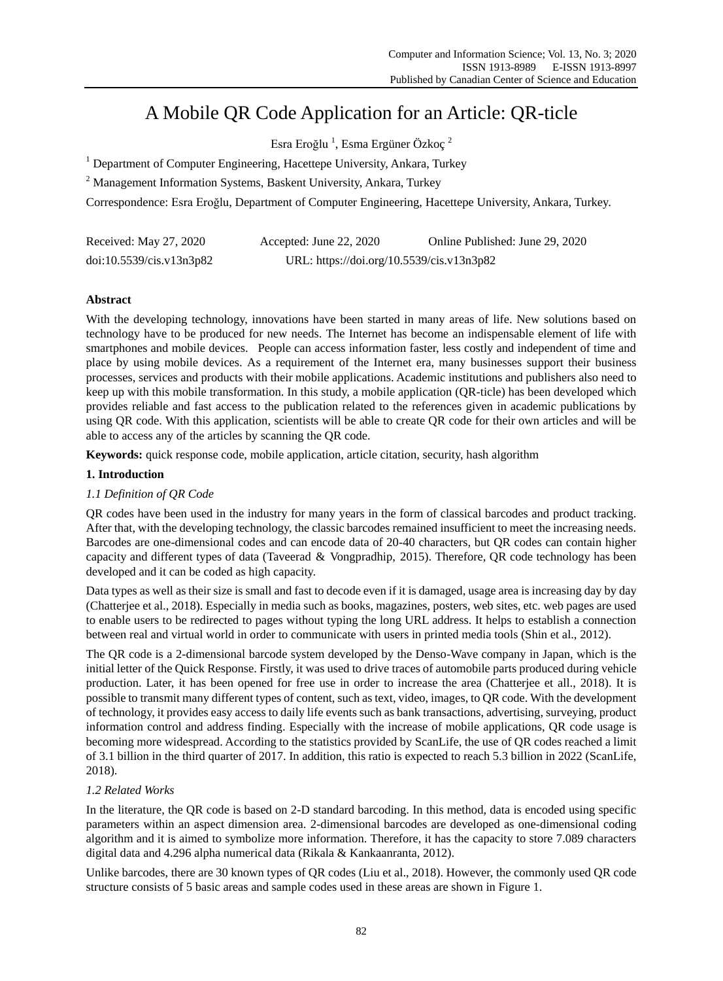# A Mobile QR Code Application for an Article: QR-ticle

Esra Eroğlu  $^1$ , Esma Ergüner Özkoç $^2$ 

<sup>1</sup> Department of Computer Engineering, Hacettepe University, Ankara, Turkey

<sup>2</sup> Management Information Systems, Baskent University, Ankara, Turkey

Correspondence: Esra Eroğlu, Department of Computer Engineering, Hacettepe University, Ankara, Turkey.

| Received: May 27, 2020   | Accepted: June 22, 2020                   | Online Published: June 29, 2020 |
|--------------------------|-------------------------------------------|---------------------------------|
| doi:10.5539/cis.v13n3p82 | URL: https://doi.org/10.5539/cis.v13n3p82 |                                 |

## **Abstract**

With the developing technology, innovations have been started in many areas of life. New solutions based on technology have to be produced for new needs. The Internet has become an indispensable element of life with smartphones and mobile devices. People can access information faster, less costly and independent of time and place by using mobile devices. As a requirement of the Internet era, many businesses support their business processes, services and products with their mobile applications. Academic institutions and publishers also need to keep up with this mobile transformation. In this study, a mobile application (QR-ticle) has been developed which provides reliable and fast access to the publication related to the references given in academic publications by using QR code. With this application, scientists will be able to create QR code for their own articles and will be able to access any of the articles by scanning the QR code.

**Keywords:** quick response code, mobile application, article citation, security, hash algorithm

## **1. Introduction**

## *1.1 Definition of QR Code*

QR codes have been used in the industry for many years in the form of classical barcodes and product tracking. After that, with the developing technology, the classic barcodes remained insufficient to meet the increasing needs. Barcodes are one-dimensional codes and can encode data of 20-40 characters, but QR codes can contain higher capacity and different types of data (Taveerad & Vongpradhip, 2015). Therefore, QR code technology has been developed and it can be coded as high capacity.

Data types as well as their size is small and fast to decode even if it is damaged, usage area is increasing day by day (Chatterjee et al., 2018). Especially in media such as books, magazines, posters, web sites, etc. web pages are used to enable users to be redirected to pages without typing the long URL address. It helps to establish a connection between real and virtual world in order to communicate with users in printed media tools (Shin et al., 2012).

The QR code is a 2-dimensional barcode system developed by the Denso-Wave company in Japan, which is the initial letter of the Quick Response. Firstly, it was used to drive traces of automobile parts produced during vehicle production. Later, it has been opened for free use in order to increase the area (Chatterjee et all., 2018). It is possible to transmit many different types of content, such as text, video, images, to QR code. With the development of technology, it provides easy access to daily life events such as bank transactions, advertising, surveying, product information control and address finding. Especially with the increase of mobile applications, QR code usage is becoming more widespread. According to the statistics provided by ScanLife, the use of QR codes reached a limit of 3.1 billion in the third quarter of 2017. In addition, this ratio is expected to reach 5.3 billion in 2022 (ScanLife, 2018).

## *1.2 Related Works*

In the literature, the QR code is based on 2-D standard barcoding. In this method, data is encoded using specific parameters within an aspect dimension area. 2-dimensional barcodes are developed as one-dimensional coding algorithm and it is aimed to symbolize more information. Therefore, it has the capacity to store 7.089 characters digital data and 4.296 alpha numerical data (Rikala & Kankaanranta, 2012).

Unlike barcodes, there are 30 known types of QR codes (Liu et al., 2018). However, the commonly used QR code structure consists of 5 basic areas and sample codes used in these areas are shown in Figure 1.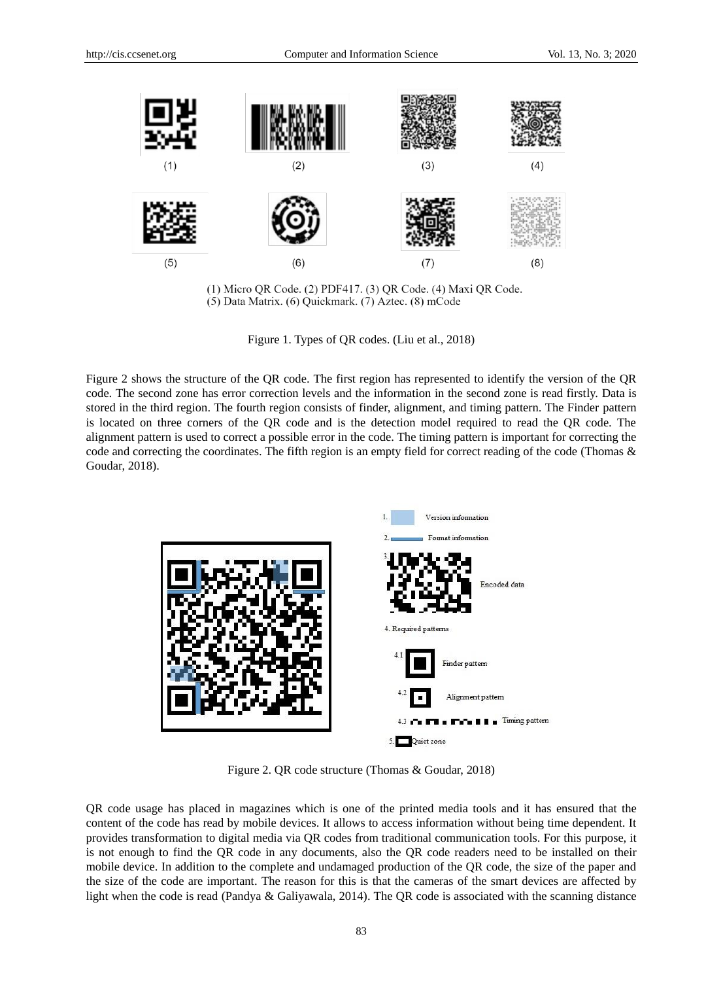

(1) Micro QR Code. (2) PDF417. (3) QR Code. (4) Maxi QR Code. (5) Data Matrix. (6) Quickmark. (7) Aztec. (8) mCode

Figure 1. Types of QR codes. (Liu et al., 2018)

Figure 2 shows the structure of the QR code. The first region has represented to identify the version of the QR code. The second zone has error correction levels and the information in the second zone is read firstly. Data is stored in the third region. The fourth region consists of finder, alignment, and timing pattern. The Finder pattern is located on three corners of the QR code and is the detection model required to read the QR code. The alignment pattern is used to correct a possible error in the code. The timing pattern is important for correcting the code and correcting the coordinates. The fifth region is an empty field for correct reading of the code (Thomas & Goudar, 2018).



Figure 2. QR code structure (Thomas & Goudar, 2018)

QR code usage has placed in magazines which is one of the printed media tools and it has ensured that the content of the code has read by mobile devices. It allows to access information without being time dependent. It provides transformation to digital media via QR codes from traditional communication tools. For this purpose, it is not enough to find the QR code in any documents, also the QR code readers need to be installed on their mobile device. In addition to the complete and undamaged production of the QR code, the size of the paper and the size of the code are important. The reason for this is that the cameras of the smart devices are affected by light when the code is read (Pandya & Galiyawala, 2014). The QR code is associated with the scanning distance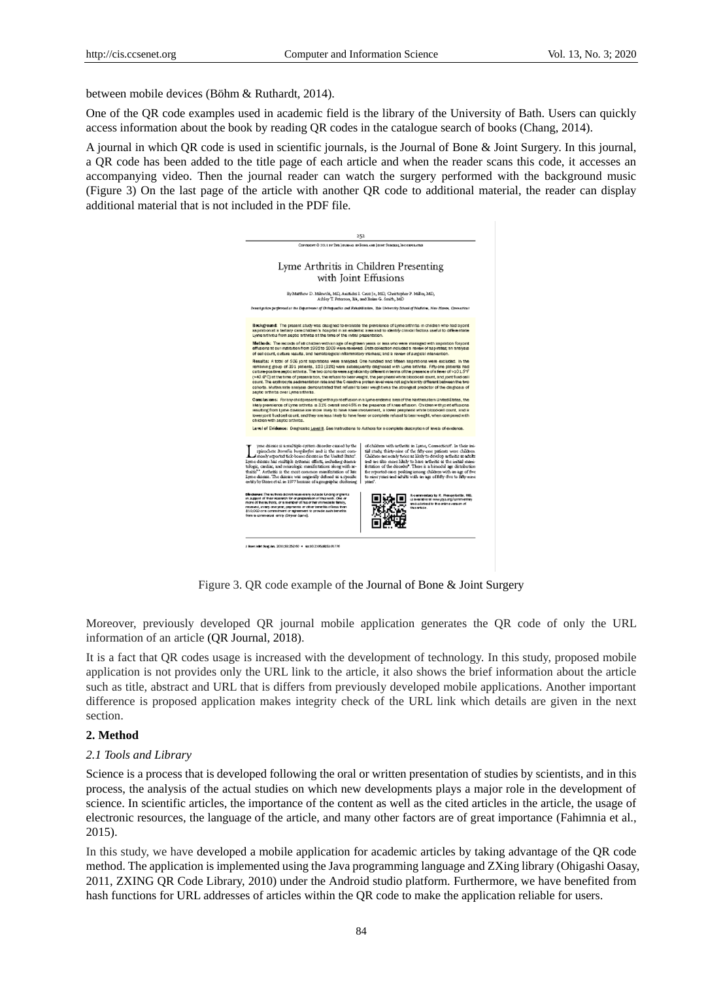between mobile devices (Böhm & Ruthardt, 2014).

One of the QR code examples used in academic field is the library of the University of Bath. Users can quickly access information about the book by reading QR codes in the catalogue search of books (Chang, 2014).

A journal in which QR code is used in scientific journals, is the Journal of Bone & Joint Surgery. In this journal, a QR code has been added to the title page of each article and when the reader scans this code, it accesses an accompanying video. Then the journal reader can watch the surgery performed with the background music (Figure 3) On the last page of the article with another QR code to additional material, the reader can display additional material that is not included in the PDF file.



Figure 3. QR code example of the Journal of Bone & Joint Surgery

Moreover, previously developed QR journal mobile application generates the QR code of only the URL information of an article (QR Journal, 2018).

It is a fact that QR codes usage is increased with the development of technology. In this study, proposed mobile application is not provides only the URL link to the article, it also shows the brief information about the article such as title, abstract and URL that is differs from previously developed mobile applications. Another important difference is proposed application makes integrity check of the URL link which details are given in the next section.

#### **2. Method**

#### *2.1 Tools and Library*

Science is a process that is developed following the oral or written presentation of studies by scientists, and in this process, the analysis of the actual studies on which new developments plays a major role in the development of science. In scientific articles, the importance of the content as well as the cited articles in the article, the usage of electronic resources, the language of the article, and many other factors are of great importance (Fahimnia et al., 2015).

In this study, we have developed a mobile application for academic articles by taking advantage of the QR code method. The application is implemented using the Java programming language and ZXing library (Ohigashi Oasay, 2011, ZXING QR Code Library, 2010) under the Android studio platform. Furthermore, we have benefited from hash functions for URL addresses of articles within the QR code to make the application reliable for users.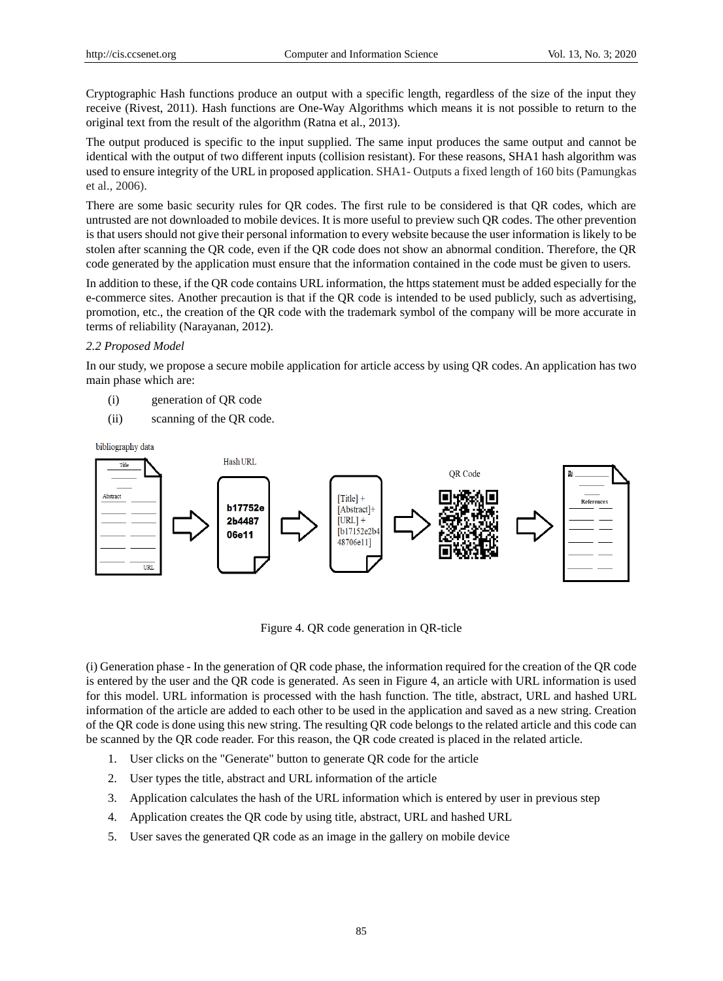Cryptographic Hash functions produce an output with a specific length, regardless of the size of the input they receive (Rivest, 2011). Hash functions are One-Way Algorithms which means it is not possible to return to the original text from the result of the algorithm (Ratna et al., 2013).

The output produced is specific to the input supplied. The same input produces the same output and cannot be identical with the output of two different inputs (collision resistant). For these reasons, SHA1 hash algorithm was used to ensure integrity of the URL in proposed application. SHA1- Outputs a fixed length of 160 bits (Pamungkas et al., 2006).

There are some basic security rules for QR codes. The first rule to be considered is that QR codes, which are untrusted are not downloaded to mobile devices. It is more useful to preview such QR codes. The other prevention is that users should not give their personal information to every website because the user information is likely to be stolen after scanning the QR code, even if the QR code does not show an abnormal condition. Therefore, the QR code generated by the application must ensure that the information contained in the code must be given to users.

In addition to these, if the QR code contains URL information, the https statement must be added especially for the e-commerce sites. Another precaution is that if the QR code is intended to be used publicly, such as advertising, promotion, etc., the creation of the QR code with the trademark symbol of the company will be more accurate in terms of reliability (Narayanan, 2012).

#### *2.2 Proposed Model*

In our study, we propose a secure mobile application for article access by using QR codes. An application has two main phase which are:

- (i) generation of QR code
- (ii) scanning of the QR code.

bibliography data



Figure 4. QR code generation in QR-ticle

(i) Generation phase - In the generation of QR code phase, the information required for the creation of the QR code is entered by the user and the QR code is generated. As seen in Figure 4, an article with URL information is used for this model. URL information is processed with the hash function. The title, abstract, URL and hashed URL information of the article are added to each other to be used in the application and saved as a new string. Creation of the QR code is done using this new string. The resulting QR code belongs to the related article and this code can be scanned by the QR code reader. For this reason, the QR code created is placed in the related article.

- 1. User clicks on the "Generate" button to generate QR code for the article
- 2. User types the title, abstract and URL information of the article
- 3. Application calculates the hash of the URL information which is entered by user in previous step
- 4. Application creates the QR code by using title, abstract, URL and hashed URL
- 5. User saves the generated QR code as an image in the gallery on mobile device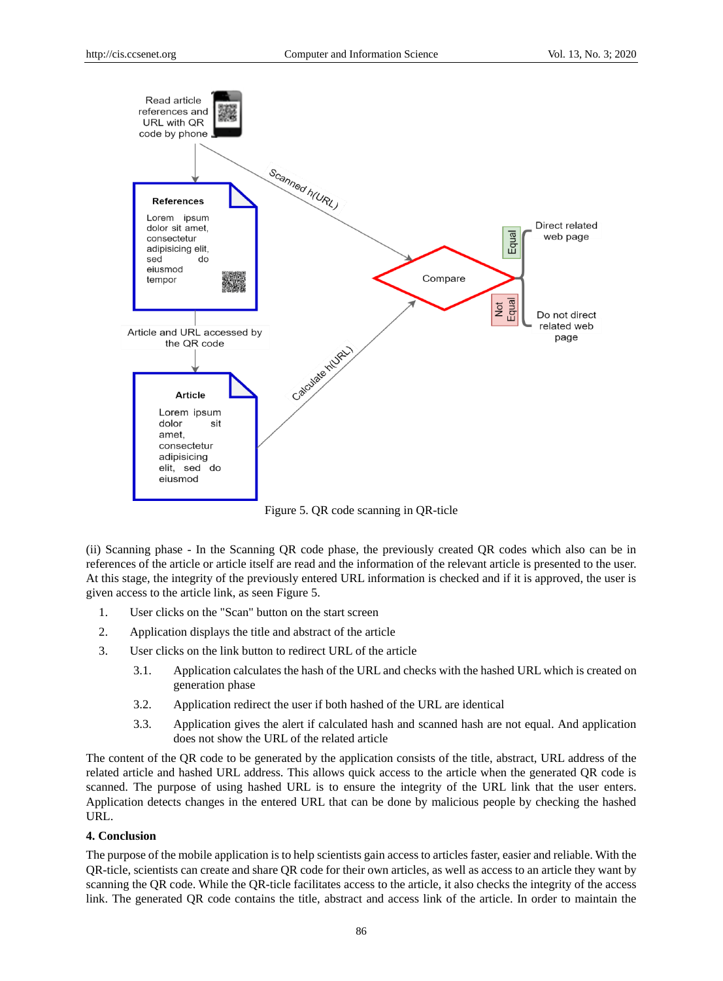

Figure 5. QR code scanning in QR-ticle

(ii) Scanning phase - In the Scanning QR code phase, the previously created QR codes which also can be in references of the article or article itself are read and the information of the relevant article is presented to the user. At this stage, the integrity of the previously entered URL information is checked and if it is approved, the user is given access to the article link, as seen Figure 5.

- 1. User clicks on the "Scan" button on the start screen
- 2. Application displays the title and abstract of the article
- 3. User clicks on the link button to redirect URL of the article
	- 3.1. Application calculates the hash of the URL and checks with the hashed URL which is created on generation phase
	- 3.2. Application redirect the user if both hashed of the URL are identical
	- 3.3. Application gives the alert if calculated hash and scanned hash are not equal. And application does not show the URL of the related article

The content of the QR code to be generated by the application consists of the title, abstract, URL address of the related article and hashed URL address. This allows quick access to the article when the generated QR code is scanned. The purpose of using hashed URL is to ensure the integrity of the URL link that the user enters. Application detects changes in the entered URL that can be done by malicious people by checking the hashed URL.

## **4. Conclusion**

The purpose of the mobile application is to help scientists gain access to articles faster, easier and reliable. With the QR-ticle, scientists can create and share QR code for their own articles, as well as access to an article they want by scanning the QR code. While the QR-ticle facilitates access to the article, it also checks the integrity of the access link. The generated QR code contains the title, abstract and access link of the article. In order to maintain the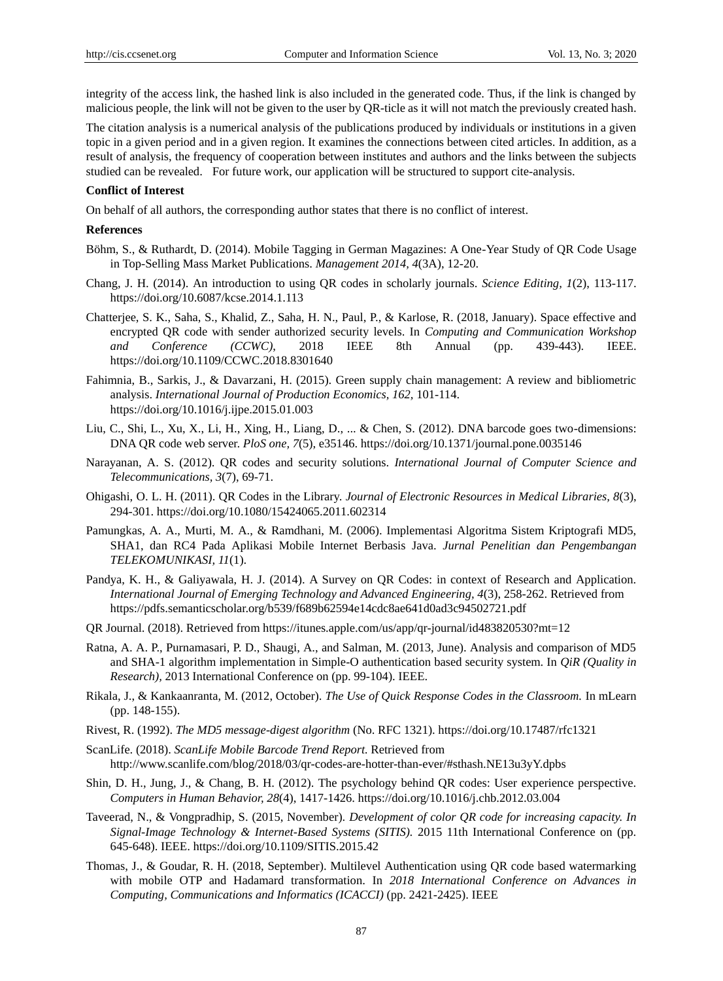integrity of the access link, the hashed link is also included in the generated code. Thus, if the link is changed by malicious people, the link will not be given to the user by QR-ticle as it will not match the previously created hash.

The citation analysis is a numerical analysis of the publications produced by individuals or institutions in a given topic in a given period and in a given region. It examines the connections between cited articles. In addition, as a result of analysis, the frequency of cooperation between institutes and authors and the links between the subjects studied can be revealed. For future work, our application will be structured to support cite-analysis.

## **Conflict of Interest**

On behalf of all authors, the corresponding author states that there is no conflict of interest.

### **References**

- Böhm, S., & Ruthardt, D. (2014). Mobile Tagging in German Magazines: A One-Year Study of QR Code Usage in Top-Selling Mass Market Publications. *Management 2014, 4*(3A), 12-20.
- Chang, J. H. (2014). An introduction to using QR codes in scholarly journals. *Science Editing, 1*(2), 113-117. https://doi.org/10.6087/kcse.2014.1.113
- Chatterjee, S. K., Saha, S., Khalid, Z., Saha, H. N., Paul, P., & Karlose, R. (2018, January). Space effective and encrypted QR code with sender authorized security levels. In *Computing and Communication Workshop and Conference (CCWC)*, 2018 IEEE 8th Annual (pp. 439-443). IEEE. https://doi.org/10.1109/CCWC.2018.8301640
- Fahimnia, B., Sarkis, J., & Davarzani, H. (2015). Green supply chain management: A review and bibliometric analysis. *International Journal of Production Economics, 162,* 101-114. https://doi.org/10.1016/j.ijpe.2015.01.003
- Liu, C., Shi, L., Xu, X., Li, H., Xing, H., Liang, D., ... & Chen, S. (2012). DNA barcode goes two-dimensions: DNA QR code web server. *PloS one, 7*(5), e35146. https://doi.org/10.1371/journal.pone.0035146
- Narayanan, A. S. (2012). QR codes and security solutions. *International Journal of Computer Science and Telecommunications, 3*(7), 69-71.
- Ohigashi, O. L. H. (2011). QR Codes in the Library. *Journal of Electronic Resources in Medical Libraries, 8*(3), 294-301. https://doi.org/10.1080/15424065.2011.602314
- Pamungkas, A. A., Murti, M. A., & Ramdhani, M. (2006). Implementasi Algoritma Sistem Kriptografi MD5, SHA1, dan RC4 Pada Aplikasi Mobile Internet Berbasis Java. *Jurnal Penelitian dan Pengembangan TELEKOMUNIKASI, 11*(1).
- Pandya, K. H., & Galiyawala, H. J. (2014). A Survey on QR Codes: in context of Research and Application. *International Journal of Emerging Technology and Advanced Engineering, 4*(3), 258-262. Retrieved from https://pdfs.semanticscholar.org/b539/f689b62594e14cdc8ae641d0ad3c94502721.pdf
- QR Journal. (2018). Retrieved from https://itunes.apple.com/us/app/qr-journal/id483820530?mt=12
- Ratna, A. A. P., Purnamasari, P. D., Shaugi, A., and Salman, M. (2013, June). Analysis and comparison of MD5 and SHA-1 algorithm implementation in Simple-O authentication based security system. In *QiR (Quality in Research),* 2013 International Conference on (pp. 99-104). IEEE.
- Rikala, J., & Kankaanranta, M. (2012, October). *The Use of Quick Response Codes in the Classroom.* In mLearn (pp. 148-155).
- Rivest, R. (1992). *The MD5 message-digest algorithm* (No. RFC 1321). https://doi.org/10.17487/rfc1321
- ScanLife. (2018). *ScanLife Mobile Barcode Trend Report.* Retrieved from http://www.scanlife.com/blog/2018/03/qr-codes-are-hotter-than-ever/#sthash.NE13u3yY.dpbs
- Shin, D. H., Jung, J., & Chang, B. H. (2012). The psychology behind QR codes: User experience perspective. *Computers in Human Behavior, 28*(4), 1417-1426. https://doi.org/10.1016/j.chb.2012.03.004
- Taveerad, N., & Vongpradhip, S. (2015, November). *Development of color QR code for increasing capacity. In Signal-Image Technology & Internet-Based Systems (SITIS).* 2015 11th International Conference on (pp. 645-648). IEEE. https://doi.org/10.1109/SITIS.2015.42
- Thomas, J., & Goudar, R. H. (2018, September). Multilevel Authentication using QR code based watermarking with mobile OTP and Hadamard transformation. In *2018 International Conference on Advances in Computing, Communications and Informatics (ICACCI)* (pp. 2421-2425). IEEE